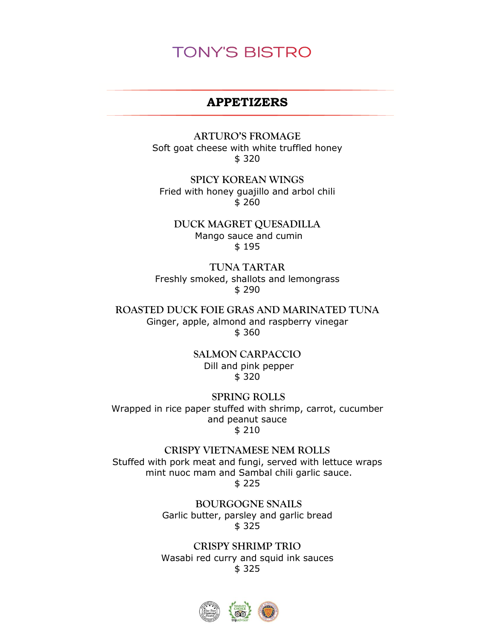### **APPETIZERS**

**ARTURO'S FROMAGE** Soft goat cheese with white truffled honey \$ 320

**SPICY KOREAN WINGS** Fried with honey guajillo and arbol chili \$ 260

**DUCK MAGRET QUESADILLA** Mango sauce and cumin \$ 195

**TUNA TARTAR** Freshly smoked, shallots and lemongrass \$ 290

**ROASTED DUCK FOIE GRAS AND MARINATED TUNA**  Ginger, apple, almond and raspberry vinegar \$ 360

> **SALMON CARPACCIO** Dill and pink pepper \$ 320

**SPRING ROLLS** Wrapped in rice paper stuffed with shrimp, carrot, cucumber and peanut sauce \$ 210

**CRISPY VIETNAMESE NEM ROLLS** Stuffed with pork meat and fungi, served with lettuce wraps mint nuoc mam and Sambal chili garlic sauce. \$ 225

> **BOURGOGNE SNAILS** Garlic butter, parsley and garlic bread \$ 325

> **CRISPY SHRIMP TRIO** Wasabi red curry and squid ink sauces \$ 325

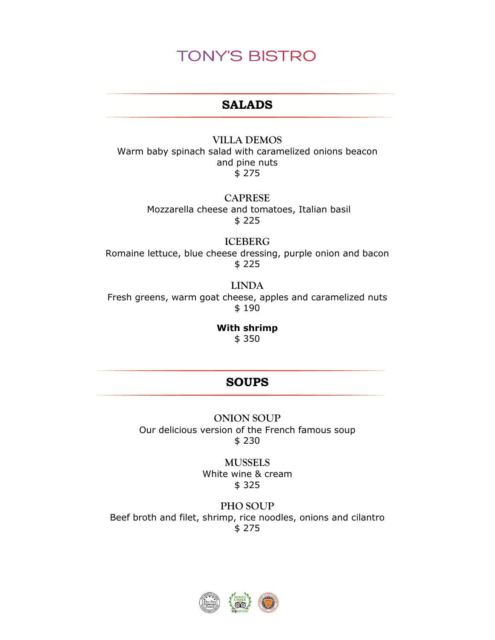### **SALADS**

#### **VILLA DEMOS**

Warm baby spinach salad with caramelized onions beacon and pine nuts \$ 275

> **CAPRESE** Mozzarella cheese and tomatoes, Italian basil \$ 225

**ICEBERG** Romaine lettuce, blue cheese dressing, purple onion and bacon \$ 225

**LINDA** Fresh greens, warm goat cheese, apples and caramelized nuts \$ 190

> **With shrimp**  \$ 350

## **SOUPS**

**ONION SOUP** Our delicious version of the French famous soup \$ 230

> **MUSSELS**  White wine & cream \$ 325

**PHO SOUP** Beef broth and filet, shrimp, rice noodles, onions and cilantro \$ 275

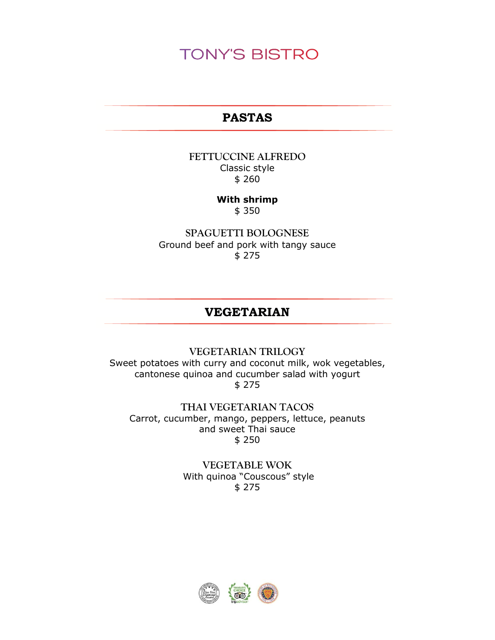## **PASTAS**

### **FETTUCCINE ALFREDO** Classic style \$ 260

## **With shrimp**

\$ 350

**SPAGUETTI BOLOGNESE** Ground beef and pork with tangy sauce \$ 275

### **VEGETARIAN**

### **VEGETARIAN TRILOGY** Sweet potatoes with curry and coconut milk, wok vegetables, cantonese quinoa and cucumber salad with yogurt \$ 275

**THAI VEGETARIAN TACOS** Carrot, cucumber, mango, peppers, lettuce, peanuts and sweet Thai sauce \$ 250

### **VEGETABLE WOK** With quinoa "Couscous" style \$ 275

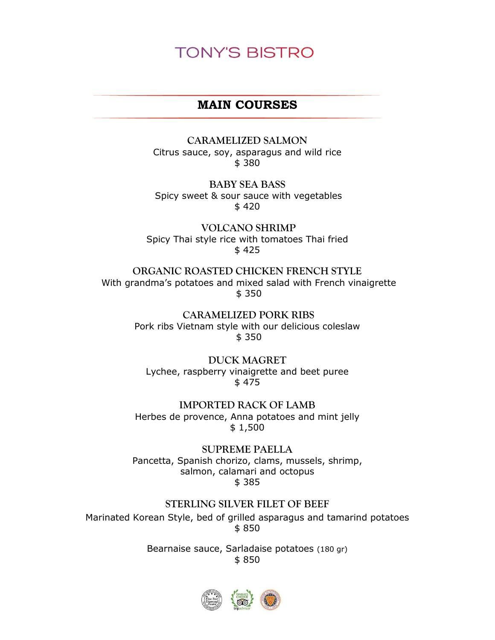### **MAIN COURSES**

**CARAMELIZED SALMON** Citrus sauce, soy, asparagus and wild rice \$ 380

**BABY SEA BASS**  Spicy sweet & sour sauce with vegetables \$ 420

**VOLCANO SHRIMP**  Spicy Thai style rice with tomatoes Thai fried \$ 425

**ORGANIC ROASTED CHICKEN FRENCH STYLE** With grandma's potatoes and mixed salad with French vinaigrette \$ 350

> **CARAMELIZED PORK RIBS** Pork ribs Vietnam style with our delicious coleslaw \$ 350

**DUCK MAGRET** Lychee, raspberry vinaigrette and beet puree \$ 475

**IMPORTED RACK OF LAMB**  Herbes de provence, Anna potatoes and mint jelly \$ 1,500

**SUPREME PAELLA** Pancetta, Spanish chorizo, clams, mussels, shrimp, salmon, calamari and octopus \$ 385

**STERLING SILVER FILET OF BEEF**

Marinated Korean Style, bed of grilled asparagus and tamarind potatoes \$ 850

> Bearnaise sauce, Sarladaise potatoes (180 gr) \$ 850